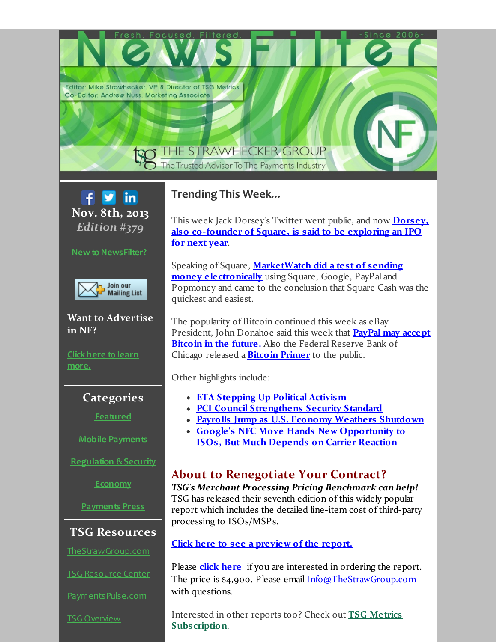Editor: Mike Strawhecker, VP & Director of TSG Metrics Co-Editor: Andrew Nuss. Marketing Associate

# THE STRAWHECKER GROUP

The Trusted Advisor To The Payments Industry



### **Newto NewsFilter?**



**Want to Advertise in NF?**

**Click here to learn [more.](http://r20.rs6.net/tn.jsp?f=001MgUaQiYhjPL3P-N_cmhagrXTv-yt-89ZC93LYQ444Tj62XPA_DZr1wCZemw5vQkUVUh-4cQpCH1IHkpL__S2FhNJBFwIsI2G5UyLViA2f_037VTRLSUs45AYl3z5758C6HRwFF0rhev6D0oGsZvprjadLzSBVQOmrreC643byQwNrc4jfalPry3341k7QoCs5rZnqdJ1D7yeH0Ta6Xx19zCYE7K1OHxZfDvemX-eYgwmYIYZuquyRPBmIMt-R--u2_ZR2pJbjcsM9SY-0dojv4OIlHdNqn6X2UlDYKuCaomEKFevrTzVrB1yuS82XknRkNXohYsAGvyogxysZaxdZiQSi1ku3a6-sY35b9L51KMDs9Z9IvIFKsRqhpCOLKMUGkdLdevSK_YPVvIRMF2LXg==&c=&ch=)**

### **Categories**

**[Featured](#page-1-0)**

**Mobile [Payments](#page-2-0)**

**[Regulation](#page-3-0) &Security**

**[Economy](#page-4-0)**

**[Payments](#page-5-0) Press**

## **TSG Resources**

[TheStrawGroup.com](http://r20.rs6.net/tn.jsp?f=001MgUaQiYhjPL3P-N_cmhagrXTv-yt-89ZC93LYQ444Tj62XPA_DZr1zbJWWvWXdSxJNKagcFc6t9bU_O9My_berYepUZFHXtMQXoeMd1EmjLmhWHqrXazbhHM9UY8n3rE20PPGgdOsqbxdme9sfFH6I7nM6iC7Svr85lyhTlshY5E1GUsw73UyP9dH7ETzFozQT8R5b9eEpR9qLdRquukaGuS3ufWD3KmH3WPU5q9eFP5hegH5jiWj-TOHLdoeUsD7-QPdjvznbQLrMoFZkGqqkXoN5j0fxN8YWF-82V0CTpwTOAmzuGcPF1SnrzsnXf3ovcImA9sOvQFj4lgZIfkJQ==&c=&ch=)

TSG [Resource](http://r20.rs6.net/tn.jsp?f=001MgUaQiYhjPL3P-N_cmhagrXTv-yt-89ZC93LYQ444Tj62XPA_DZr1wCZemw5vQkUizEkDIpfi8C8sMVxeCgJuyqrdHYRi2L0VtTAUUGNXbNNRXtLGD4zeB0oQM3a2IYQ_OlmL0ko4C3CVV3R-bWSqA-KQyJjMNSAR36gtUk7Gv7lAZSLvFHcXpmB_RICM7g0aRVX2igYyyRk29IFqQLkeroBuKFthhyeiPPw6LeLtS2fxj1Thmmvivzf_je4xl6aVmiqtstalaUx0rPq_lhZ3DHIdVIuvHxhUJNqED58jYfXEzp8aS3px4RQALaJZSFL_ijPR4r20GwY1U84aaiUumqJLSUD_q7cI6PtldiXUj4=&c=&ch=) Center

[PaymentsPulse.com](http://r20.rs6.net/tn.jsp?f=001MgUaQiYhjPL3P-N_cmhagrXTv-yt-89ZC93LYQ444Tj62XPA_DZr1zbJWWvWXdSxVhc4F03ae6WT2UDeMHaCU1S8cWOH0L6aaz8bc6MxirHx-DELiHAxF2Jr1inGz535fhgkhgFL9H7sTIuJGFNSmT5622_kUQ1CyMhtZR11j1z2azLbSdTg-YNa1MJIYrCXCtSaC8WxMRkaCFjOQpt6PYhFcQbgOhgspvT8L257qZ2pZrErMHfqKXIgahj09hEOYHE6HUh2krVNIivboAo7HvA-Kk8k-89yIv3HrujCkTUkHb2NUwZOg63rpM2lzezhV6aM0ifeRRQlUZE7PCH_ag==&c=&ch=)

TSG [Overview](http://r20.rs6.net/tn.jsp?f=001MgUaQiYhjPL3P-N_cmhagrXTv-yt-89ZC93LYQ444Tj62XPA_DZr1zQOgjtHNyIgK9DE_KLlvxaqU6tncNdyv69J3kAX24rcDCdWdV7kTZbuoByGHpRwG68jP2h8f7lO_-h2gfvD2lljfUz4zSMg_KSIxSO-KxU0tuhfepdCSiPzgknvo9tRIFeSLdyDJ1u__CvR_daQwlM4hJr0ZN4JYU1EduavhtL-VOeMv2RBx-k8hwI7RnT_dxrnl16554BJxeNV-L-VR0c=&c=&ch=)

# **Trending This Week...**

This week Jack Dorsey's Twitter went public, and now **Dorsey, also [co-founder](#page-1-1) of Square, is said to be exploring an IPO for next year**.

Speaking of Square, **[MarketWatch](#page-2-1) did a test of sending money electronically** using Square, Google, PayPal and Popmoney and came to the conclusion that Square Cash was the quickest and easiest.

The popularity of Bitcoin continued this week as eBay [President,](#page-2-2) John Donahoe said this week that **PayPal may accept Bitcoin in the future.** Also the Federal Reserve Bank of Chicago released a **[Bitcoin](#page-3-1) Primer** to the public.

Other highlights include:

- **ETA [Stepping](#page-2-3) Up Political Activism**
- **PCI Council [Strengthens](#page-3-2) Security Standard**
- **Payrolls Jump as U.S. Economy Weathers [Shutdown](#page-4-1)**
- **Google's NFC Move Hands New [Opportunity](#page-5-1) to ISOs, But Much Depends on Carrier Reaction**

# **About to Renegotiate Your Contract?**

*TSG's Merchant Processing Pricing Benchmark can help!* TSG has released their seventh edition of this widely popular report which includes the detailed line-item cost of third-party processing to ISOs/MSPs.

### **Click here to see a [preview](http://r20.rs6.net/tn.jsp?f=001MgUaQiYhjPL3P-N_cmhagrXTv-yt-89ZC93LYQ444Tj62XPA_DZr11KSw3Kccb1U_kZkdAehUSeE9LodzN3MIJkrxdsJxeGZW1LCgKuW7M3cqV44PFkGUVrc0ApPfHOh12safZ-8bAJCb0Blma-o4HgSeOF_DSiQFIIiaWWfXxizxKvKvMX0zCc13AqFrX5HhzThYQP3NYTaIcFnBVGfivF9z_Uc4ul8KHEZhzY4VKeLUafgNHHSNmROoimFtEWNHu1aPerbYEc=&c=&ch=) of the report.**

Please **click [here](http://r20.rs6.net/tn.jsp?f=001MgUaQiYhjPL3P-N_cmhagrXTv-yt-89ZC93LYQ444Tj62XPA_DZr1-wHf_DCMNqaD98SzalRsWD_nj0IBLFWaXOdbn_r3DiPT2L9gvnU2PAVeqfM6lUTHiCwQnSQgdEplQtNF1bPdNzGzUI2IJczZcvDqXhm3CBDc6EOPc8H1uZjhJOK9NocRME_moaVc6ft_AtIv7s-gz6Izl1Nj4THaWyOjjDYEQexxHeTiUDTuEiX1VufRXW7CBtdebZMdqiQmBfG1haLro8=&c=&ch=)** if you are interested in ordering the report. The price is \$4,900. Please email [Info@TheStrawGroup.com](mailto:Info@TheStrawGroup.com) with questions.

Interested in other reports too? Check out **TSG Metrics [Subscription](http://r20.rs6.net/tn.jsp?f=001MgUaQiYhjPL3P-N_cmhagrXTv-yt-89ZC93LYQ444Tj62XPA_DZr1-wHf_DCMNqa5IYeqDV94n5rH7RWDZ6E8OnABq4kJUjQzmU_ipblFircsbWEN8IPKYSCGKnflhLzyf17shL-uokZWgnFBDQvc1Xmh8y0DHyMkwTXnaSMAPCxHZmI_lF0QojwugC_402mwQat6AHO9b8aeECwFuJKgxIR-csLzxBSY1z4bn1K_52LvRQOYc_foKGr1veSfKB2ERzr1Zk4Rvw=&c=&ch=)**.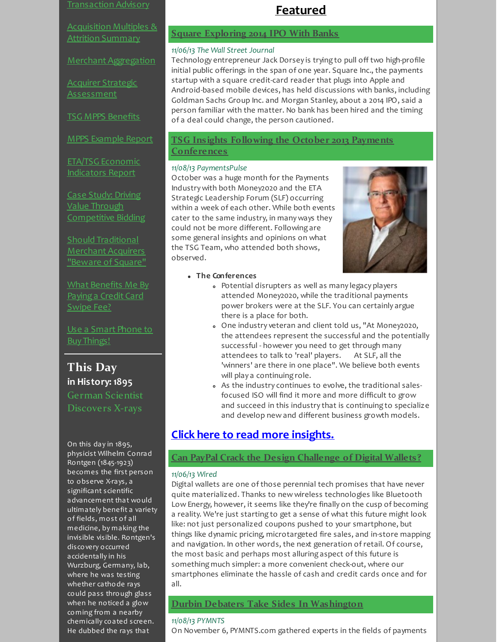### [Transaction](http://r20.rs6.net/tn.jsp?f=001MgUaQiYhjPL3P-N_cmhagrXTv-yt-89ZC93LYQ444Tj62XPA_DZr1_055c6WUg4YNRRCbUbi0IQN-ZQqrL59sP5HhQqXPOPKnDhq9X9p0A66Aafo0S39qmsMgV4wm0mxPBQkaip2hsb_817IQo6m3b9rwUBGY9jrYZMJwcS04_qbno21RP6Cn4jwgApQg0DRGnXdXLMcu1kJ2hj0--H7gkThmfBNNA0Fbyw3RO8eVPPVHgphyM6Hna_Y0GtzV8up&c=&ch=) Advisory

[Acquisition](http://r20.rs6.net/tn.jsp?f=001MgUaQiYhjPL3P-N_cmhagrXTv-yt-89ZC93LYQ444Tj62XPA_DZr1zmPPJai-gsaurg-BW5B5rQ3QX_Sa_3lKlLaHPQHxCh_MVZcS6Q1JuVFDqWmk6bWHt89Ix9fTp5v8CqV2m6Iuk1gxH3O7Nw0Hbswhcbyx4IdKy6OpfpyzYKVqjjlbZVaD0WdawuxZuAu_ds8aa_E6K3TDJ6S4oUGmfmoHuWerlpWJtKhq5VJ3k7MbpXJvT9qbmVxgDjd9rrn&c=&ch=) Multiples & Attrition Summary

Merchant [Aggregation](http://r20.rs6.net/tn.jsp?f=001MgUaQiYhjPL3P-N_cmhagrXTv-yt-89ZC93LYQ444Tj62XPA_DZr1zQOgjtHNyIgFpzYRGa5O3zuq79eudBvFmWKs9oZkhNjz7OcQit7dGes2TT2FUUH8beOk8YToYyH6A6op0FNLXrvQg-oypV5HpzZXsPRsJ7ThLHwSr3CGid2zfFUFGot35rtMxqylLbZxMTkQoJaVGpytLTQlxIS0D29F5c1JaD21yDxj-bcffsM_o9r93orVMAsPWfKNkuodkyttg8IEak=&c=&ch=)

Acquirer Strategic [Assessment](http://r20.rs6.net/tn.jsp?f=001MgUaQiYhjPL3P-N_cmhagrXTv-yt-89ZC93LYQ444Tj62XPA_DZr14e22M3LccG6lIxXnxXkcCFYAZ0fuVTIVpq_7VSpD05LGTbaJPOyC3L2OsEtQB9b80sW6LOIUERqBnpyshLczRFyxD0aDdvjIkHuUGbRUdTakKK5kHjtNE7qjSJ4hyrkY73M_s6yUKvzfrsMdEhnVNj9dIjFUPIS1ifLAgLfGSj6tgEcSvBig7Mel6VKT6Al5cb0K4BGJrNWcYzUknBgkdBYV-fJ1kM3XzxOsa5mMu-RFDOYc1wDgH8SQ_KeAb-3oaDrhOEBjwJkKRqQw3hlA0cPfgsid2CQaZWFU8O0H9HKrrBxS7Q3xwSZqSCIm8HrwlBQMm3Yx6mY-4HNpJuBZvajp6jMd7yzV9r-YFy9rSVa8lX8CyQUH7ArJ0peGDsMWw==&c=&ch=)

TSG MPPS [Benefits](http://r20.rs6.net/tn.jsp?f=001MgUaQiYhjPL3P-N_cmhagrXTv-yt-89ZC93LYQ444Tj62XPA_DZr1_8XrD7t8Li5AGLaHSLSHm-tzKQy6AM2AlDprOA2_idFeuwv5aO3qkep9IfePVu8GdIpCaa8ekR1I-6FN73ypdla3NHMLMoF-FEDzTOg63Wm29ZWC9S1G9oOafzM_gjh2JAHSeKBRwZ3lvO9o9boMoIdU0FiWYs8F7z8n71RG8SdaU9cqVhQaEpLqDSqi_9vH4JK5CNW3HxgZlbK5nrw-Fw=&c=&ch=)

MPPS [Example](http://r20.rs6.net/tn.jsp?f=001MgUaQiYhjPL3P-N_cmhagrXTv-yt-89ZC93LYQ444Tj62XPA_DZr1_8XrD7t8Li56M3zy5AwjKDFnwugvzgKkjCic_mJF3oW1uwpwWvQvt9WLKpwgjwnuKYBrBgkWnd1cZMg_2GH9kgQMCFjfSFq2ZekWJ7Bl9dqc6ertqv4F58eYpL5xPhRBVEDMF1VpnTrcbGf7Ath8LE5tbRUqrzTpfKmnhj5oSs2Ch0az4fKRqPMjUR_BoM_wfpkMDYsKr_5YM9BIeUpJLc=&c=&ch=) Report

ETA/TSG Economic [Indicators](http://r20.rs6.net/tn.jsp?f=001MgUaQiYhjPL3P-N_cmhagrXTv-yt-89ZC93LYQ444Tj62XPA_DZr17bfZoOHVaAVCxRcN6LwrnUZXvA8LjqJ5L_PjkrviDOl1vNSEfblYdiqK4Ppz33UoUJAfUhpN6Bg1tpjfbk7WUFGT0RM32n3fmivksm_PBrCrcyBD5xXCCxKTRF7M2stVluzM9QThb-93U5JyP3eiwQBH_STI6kXyXq2zjDEPvlfO5CrtYjAyo0o85oyMisM_msNm17lAKAouvIDlYTc-1k=&c=&ch=) Report

Case Study: Driving Value Through [Competitive](http://r20.rs6.net/tn.jsp?f=001MgUaQiYhjPL3P-N_cmhagrXTv-yt-89ZC93LYQ444Tj62XPA_DZr14e22M3LccG6UKJn0BoqHWR6Twu1xnT3Ztr6SLHKY_czH6Ceo0W-K8Yf0ZJYuPFl8tXP3rSTHtQXINbr9vMFsM1NhItbcp4orM66Q1M3vbbD0UqxNtRJkDrMalb3NTFRy66_6uITj_p0z0QK3-_j4Jcq7kUthGeHBMbTI6Wla9nNCeHhsyhqIJ_mnc26xS_ge7HWubptBwC6GNpiVPr4aKWv2J5CtG1kq1Ru9CJ6mrd2JqYFc08vgvKpEE6O9I8gItpb_krsAsvdIo_8UItvLQ6Tlw-1ISKnFKBLmydQoH1YFMHwKrCgWts2SxffheyIRyAmyDZfyN5T-ZJiQQ2msIZoITpns4mzXBIxnSHrYQqjveDO8DVkRY-cC47ckNzUf8zYLODaQZDKNS9vURpyjTE=&c=&ch=) Bidding

Should [Traditional](http://r20.rs6.net/tn.jsp?f=001MgUaQiYhjPL3P-N_cmhagrXTv-yt-89ZC93LYQ444Tj62XPA_DZr14e22M3LccG60GcjX_DTlBoaTYU1G8br3Pwj8MN9Ra3Y1enlHAH71FvDr4Gspfhj5_yS2yrFALcJSqOEo1G0MYBQv1YSNJt5PCbtS0XZeqrQMnuQYmeNZxf3dlIu2YVRl57od4lgM0uZBqRaWUQ-5f0s3jTWmc1UWrPDEfRMilIr5pOTC7J3v3nmUsp_HYQ0Aehl61WhDD40wkcBlr7Veecptkko4-7KukFkHTayTntQ55ynLlwNi7fN8xDxLCu8LB5VyTglFLJHbyPNCWuVOxonC_pMFovvVzURm5nA4u0xQzoWwE-nrfDzpo0C3jmJWs3f0_0rl7Pxl7w0h0BdiSTTrV6JRnGRLYdH9_xMAcv_&c=&ch=) Merchant Acquirers "Beware of Square"

What [Benefits](http://r20.rs6.net/tn.jsp?f=001MgUaQiYhjPL3P-N_cmhagrXTv-yt-89ZC93LYQ444Tj62XPA_DZr1wLTw96Ngc7oPaxzMdCpH87Lvr4Dh3LtudvNVbDn8Ba_4DTfPqcI5w0tEmY-9SU4yXmZ7mFK8_D5zqXr-mbONUiX_1ctkMkXADvN829B-5am2hpVozpm9vUmyNLzUY-aIgn3x13qmRHBr0PoNJsIJv1SdRvLKvSge7W7ikggRQt_rZbJVCOfboiJDo9i9NGaPB1RasWvhGcx&c=&ch=) Me By Payinga Credit Card Swipe Fee?

Use a Smart Phone to Buy [Things!](http://r20.rs6.net/tn.jsp?f=001MgUaQiYhjPL3P-N_cmhagrXTv-yt-89ZC93LYQ444Tj62XPA_DZr17MOY2xOzBhfSJcRIV1xGqSlYureW0DGxX5nMaeO2bBoZVi2fE3wwBu29Yo6JfSIUPEv2JZnAS3elXPv9lAzK77TQ5tF4TfbdzqE_aAzNALElnXqxAyipxVo1f9Kz1WjZMLB_J91cVKAMeKhdUAhHJFi7suT3vBJ5MafR67GH2kVhPqJSu-ZT-gtR8ZcJ479iYSZxnLfKZMe&c=&ch=)

**This Day in History: 1895** German Scientist Discovers X-rays

On this day in 1895, physicist Wilhelm Conrad Rontgen (1845-1923) becomes the first person to observe X-rays, a significant scientific advancement that would ultimately benefit a variety of fields, most of all medicine, by making the invisible visible. Rontgen's discovery occurred accidentally in his Wurzburg, Germany, lab, where he was testing whether cathode rays could pass through glass when he noticed a glow coming from a nearby chemically coated screen. He dubbed the rays that

### <span id="page-1-1"></span><span id="page-1-0"></span>**Featured**

### **Square [Exploring](http://r20.rs6.net/tn.jsp?f=001MgUaQiYhjPL3P-N_cmhagrXTv-yt-89ZC93LYQ444Tj62XPA_DZr1_zEzdET6vd4BTFbC2dAOdygn0b2BekyhuCHv7AteIj9TBIFA85wkuQDNXDYg5pm6hHxcgEEYZrmUY9KDaiBIe1VZctesmd8u3qDuZL5LCGUxjf487R7_27BXzHeL-DcG_locXNt6o8LlrTiH-jy9KzEaGgs8LS6mghtXIqdizs5I2Q8IDld_afUWhG3LZSoRnIuO4Me7K8ubDDNorEEQDKk6Q1bhUWOjyI0F94P866jA8UbD5RzZVUrWXWf3ZstYfdOv-huPu9jQegEGmfubPcXIwtOrQZE8UV0Xfb5FG7UB2UOvHlEn8mY9BPn9eP6rA6Be0oxXuuBbWX8ywfsJecHA8VcI2TiwxQ-tsnb4zmp&c=&ch=) 2014 IPO With Banks**

### *11/06/13 The Wall Street Journal*

Technology entrepreneur Jack Dorsey is trying to pull off two high-profile initial public offerings in the span of one year. Square Inc., the payments startup with a square credit-card reader that plugs into Apple and Android-based mobile devices, has held discussions with banks, including Goldman Sachs Group Inc. and Morgan Stanley, about a 2014 IPO, said a person familiar with the matter. No bank has been hired and the timing of a deal could change, the person cautioned.

### **TSG Insights Following the October 2013 Payments [Conferences](http://r20.rs6.net/tn.jsp?f=001MgUaQiYhjPL3P-N_cmhagrXTv-yt-89ZC93LYQ444Tj62XPA_DZr1_zEzdET6vd4z_qYS8m0xGx-HW_AYPpqagtGAtN3_cP-YnkWqsxin0qImmvjq2N7ePw5teZSSEjR0Pv63D8YxJzJheTKJONZl7PWsezU_I_DVf9l9t_QPRCwOD8wfa2ueocE32Y2tfG8EcGClVLxeldnDS8-pf67RoMbisl1_PB2sf3Hr6BCe0fDd1SoXcmt8fLGGgCQLHmXV8-aj5uUJGZIThK4ZwJrJjmHNPSA4UIuZfpb5tbO6LGaQMcWR6L1erwNLfqYS1W5E3jIpQvZreW4w_DJI2QfM27d2NjMUDF6VnIBaPE-gcsmvADmpFa-nfifDEtDMavmxDlgIIQRC55hLZeiSZhY2jIh9JxNMCkF0mqUtRK8gZc=&c=&ch=)**

### *11/08/13 PaymentsPulse*

October was a huge month for the Payments Industry with both Money2020 and the ETA Strategic Leadership Forum (SLF) occurring within a week of each other. While both events cater to the same industry, in many ways they could not be more different. Following are some general insights and opinions on what the TSG Team, who attended both shows, observed.



- **The Conferences**
	- Potential disrupters as well as many legacy players attended Money2020, while the traditional payments power brokers were at the SLF. You can certainly argue there is a place for both.
	- One industry veteran and client told us, "At Money2020, the attendees represent the successful and the potentially successful - however you need to get through many attendees to talk to 'real' players. At SLF, all the 'winners' are there in one place". We believe both events will play a continuing role.
	- As the industry continues to evolve, the traditional salesfocused ISO will find it more and more difficult to grow and succeed in this industry that is continuing to specialize and develop new and different business growth models.

### **Click here to read more [insights.](http://r20.rs6.net/tn.jsp?f=001MgUaQiYhjPL3P-N_cmhagrXTv-yt-89ZC93LYQ444Tj62XPA_DZr1_zEzdET6vd4z_qYS8m0xGx-HW_AYPpqagtGAtN3_cP-YnkWqsxin0qImmvjq2N7ePw5teZSSEjR0Pv63D8YxJzJheTKJONZl7PWsezU_I_DVf9l9t_QPRCwOD8wfa2ueocE32Y2tfG8EcGClVLxeldnDS8-pf67RoMbisl1_PB2sf3Hr6BCe0fDd1SoXcmt8fLGGgCQLHmXV8-aj5uUJGZIThK4ZwJrJjmHNPSA4UIuZfpb5tbO6LGaQMcWR6L1erwNLfqYS1W5E3jIpQvZreW4w_DJI2QfM27d2NjMUDF6VnIBaPE-gcsmvADmpFa-nfifDEtDMavmxDlgIIQRC55hLZeiSZhY2jIh9JxNMCkF0mqUtRK8gZc=&c=&ch=)**

### **Can PayPal Crack the Design [Challenge](http://r20.rs6.net/tn.jsp?f=001MgUaQiYhjPL3P-N_cmhagrXTv-yt-89ZC93LYQ444Tj62XPA_DZr1_zEzdET6vd4PcHcRaCk6BBOo-FMI0M9ruMTyYCFYuxAo5srZI8vwkEgZMTmWk92uR6SwEFH4wKzmczjkNF-TbZ26u41qY9KJVg2D5-tfa4kOs-QtOCvJeCPuwQJaDfAu_seBxXFYjerV2jhc7FITRoNfAlTJrU_ahmX1QAVeA1rKAdY1YLpaRGslsJYbFEuXkyR1I3B43-vmql7ECxfEavIYmD9SDsOukeTKGAK_S5REEAhIZLvcuRpdTnPWoac3XCpOfl0_1iDHMXJ4XZRbFSyQScKVyH1edpV5jLuZcGFDC2xYOy3mY6SXXGdffag9LpWpcpafPOEHz0xMeAYpyTXm9hU-1QDmXPX-7AFtwLMLcBpalbdoCS0x-GoeSrKJ-DhCntiJHmn&c=&ch=) of Digital Wallets?**

### *11/06/13 Wired*

Digital wallets are one of those perennial tech promises that have never quite materialized. Thanks to new wireless technologies like Bluetooth Low Energy, however, it seems like they're finally on the cusp of becoming a reality. We're just starting to get a sense of what this future might look like: not just personalized coupons pushed to your smartphone, but things like dynamic pricing, microtargeted fire sales, and in-store mapping and navigation. In other words, the next generation of retail. Of course, the most basic and perhaps most alluring aspect of this future is something much simpler: a more convenient check-out, where our smartphones eliminate the hassle of cash and credit cards once and for all.

### **Durbin Debaters Take Sides In [Washington](http://r20.rs6.net/tn.jsp?f=001MgUaQiYhjPL3P-N_cmhagrXTv-yt-89ZC93LYQ444Tj62XPA_DZr1_zEzdET6vd466zPYidORKKYES7kFonooP81u36mLJCcKko1dl8zt3JglxdYSGCXQh-p9V0KrxItAgU2YO8I_otJZRE2y2wayIjqxXjU9Nrw5IKdVOQlYZd7fbtbdJhmAnO6eDUEZV8DALub6WiKYHCF2JxiFiONYTXE6geh-rTcQl9UeKmgk8_U2f_FeStYTjeOV-tkIAzH6x2ITOCz3iNNpb6RWclAEKCAUrRzxuJ6_Xvd1nC3Gp9AuR941wzXpdSGHAgIyuwieyg6mIjbRLh4g8lgqsuBPbzfd-_aHHUhFv-rsCi9QEQOjyxoQ2-W3WZhN2EDGwZq4miIKU86PRp0uHHL8pAbLm8c7pqb4l_RgUT622XRlInydtdDqR8cuRGrUr55cB0OWQrnwrA-KxJZDPQ0ch5uFc-F9kJ1lZPJNteOAyeq_hB-B-SnBsDQ2foGnILphX1AhW9fd_G-ynHUhkWtBJKsP5c0xM4a8R3JaqGUBl0OGxJ-bZ3P1CmqaxMq47f1s9NIDQ7yrGODC06FKv5xSs4BavQr6ApSu9pK&c=&ch=)**

### *11/08/13 PYMNTS*

On November 6, PYMNTS.com gathered experts in the fields of payments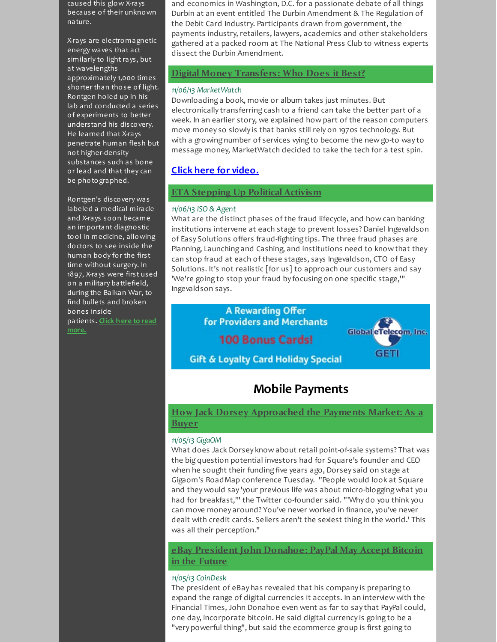caused this glow X-rays because of their unknown nature.

X-rays are electromagnetic energy waves that act similarly to light rays, but at wavelengths approximately 1,000 times shorter than those of light. Rontgen holed up in his lab and conducted a series of experiments to better understand his discovery. He learned that X-rays penetrate human flesh but not higher-density substances such as bone or lead and that they can be photographed.

Rontgen's discovery was labeled a medical miracle and X-rays soon became an important diagnostic tool in medicine, allowing doctors to see inside the human body for the first time without surgery. In 1897, X-rays were first used on a military battlefield, during the Balkan War, to find bullets and broken bones inside [patients.](http://r20.rs6.net/tn.jsp?f=001MgUaQiYhjPL3P-N_cmhagrXTv-yt-89ZC93LYQ444Tj62XPA_DZr10RJn-fIlM1dZSQF3CfFLaj51EEfZEEAlnTOx5njX5pS-mPoDrM3xigJokOs7RQ-OPn2fiMDgQ2z2G-ZGQusnHcz2dufMyl-8goAacdXdHXel08ngKPAICUc69SBqY-2nKmoDJusswb4inH254qnrt3BGuR5C3NYlJgS-cfOo7fxiy5uzr0MBL90zqZhCVencP7wFJRaLPkWEV84tAy3sh6llLD_G3s9vMfHaZobqjr048VpMLRSArrtWUcTSNDUndmCSSS6_phlIzNGeNEKORl9WmoIpthoOVZh4wNgcb6914yZdhAxbTo=&c=&ch=) **Click here to read**

**more.**

and economics in Washington, D.C. for a passionate debate of all things Durbin at an event entitled The Durbin Amendment & The Regulation of the Debit Card Industry. Participants drawn from government, the payments industry, retailers, lawyers, academics and other stakeholders gathered at a packed room at The National Press Club to witness experts dissect the Durbin Amendment.

### <span id="page-2-1"></span>**Digital Money [Transfers:](http://r20.rs6.net/tn.jsp?f=001MgUaQiYhjPL3P-N_cmhagrXTv-yt-89ZC93LYQ444Tj62XPA_DZr1_zEzdET6vd4eRZ3NYJkOoxlnjc0zwUJ1-Do2bd_JDPTIUb50BqLLqaL1kDcqybspRF5cP6mwgnJ1DL3C4HU3MU247fho4u99bMFYu0tmxlPJT2KAno0GCCX0sESaLMyNU__9nmKH04rA7kDgaxnuBXq-DrAh7zoHJuzdLfrlkMDQPB5mHBSdc0Cbn9ZxTD1zv_NZwaIX1XVmCTGnQTJbBPnx6ZpDnK2whjMTv7O9wXEhHCZ23oCdHdSpx2TMD1kl-AIxjbuYGQjAznlImvY1xfJMhpJbtQ33StFVu64Pkx3PWnih0mzKSrFv6JDz1nN-SIyh3GcIsSUSjpLUx56EtdOdq99jITmXMr4qOFGBhcuidS8hpKt6Fo=&c=&ch=) Who Does it Best?**

### *11/06/13 MarketWatch*

Downloading a book, movie or album takes just minutes. But electronically transferring cash to a friend can take the better part of a week. In an earlier story, we explained how part of the reason computers move money so slowly is that banks still rely on 1970s technology. But with a growing number of services vying to become the new go-to way to message money, MarketWatch decided to take the tech for a test spin.

### **Click here for [video.](http://r20.rs6.net/tn.jsp?f=001MgUaQiYhjPL3P-N_cmhagrXTv-yt-89ZC93LYQ444Tj62XPA_DZr1_zEzdET6vd47PW64hTecSwnNW7CQxkvLo5B86ViRZnzVjlL3nIpH3JQ8Ta0c0d2PAvIXD2wdZbN5J0MWcTUqNtffXJ0g8g8lxY7UA55kdSDelGvMFnchjOAwdsjOioT7BaxPflb-QzEcLygSxVZcuI836CgmMjazwcZ3W-djg-dFMhIWn6Ygyq8JziLtPwzOvugMs3h8wXl1MGIEBAM6gXRSIBJA3KbMc0ymseuZDpyKW-FEvfTf3YD-FyhXzlR-qTrMxanksnYjA6FXE4EleXxrJA5Y1dmr0FlasFsovtWPIPEQb_IxCmfQl-F0wD9MsY91SYOiQQYCo2ZBg9tFre3mZwP4miRC46XlDqSC9Ms9VVrjtg2793R2Sq4YvJ5uHYhGJ3z18dJ4D56Cwa9CvR_T-yJbbbSRysJ-0J0PXsafoLDd8twcVBk_6G293rwaxz-yUbap2_MPlZksxWWBDI=&c=&ch=)**

### **ETA [Stepping](http://r20.rs6.net/tn.jsp?f=001MgUaQiYhjPL3P-N_cmhagrXTv-yt-89ZC93LYQ444Tj62XPA_DZr1_zEzdET6vd4zUcrihbZh88xoKAB1_Egdx43sPsF-xDZfTGTEZNVhqnoCpLhFkUUBDyQwG9md3d3mV1qbJMnw83WHNT_K3Gg0iTYiK2QujYO89XgHVIXNlGIGPhJxKAgEJArRfrL-axcepo6GV2yl26u8CK6JEj_2cz8c67Z9nhurdFXDDrs_df_IN7VVfIimujqpcrJNdlXMrGT9kxGR8ox3NS9V4x6bscozUeAFmzK3bA6DySfhCUh30lMZ0x0ea68lO7eny12TbOwhVX6W7OMfj_GuhtlWILidWXGOoXa6L-CIBX8PLrIx1Bd65qp4ttooB7yNBATZ4IzQXD3MDNG11e2lxHp3KNK9iSrA-Qr&c=&ch=) Up Political Activism**

### *11/06/13 ISO & Agent*

What are the distinct phases of the fraud lifecycle, and how can banking institutions intervene at each stage to prevent losses? Daniel Ingevaldson of Easy Solutions offers fraud-fighting tips. The three fraud phases are Planning, Launching and Cashing, and institutions need to know that they can stop fraud at each of these stages, says Ingevaldson, CTO of Easy Solutions. It's not realistic [for us] to approach our customers and say 'We're going to stop your fraud by focusing on one specific stage,'" Ingevaldson says.

> **A Rewarding Offer For Providers and Merchants**

**100 Bonus Cards!** 

<span id="page-2-3"></span>**Global** et elecom, Inc. dari

**Gift & Loyalty Card Holiday Special** 

## <span id="page-2-0"></span>**Mobile Payments**

### **How Jack Dorsey [Approached](http://r20.rs6.net/tn.jsp?f=001MgUaQiYhjPL3P-N_cmhagrXTv-yt-89ZC93LYQ444Tj62XPA_DZr1_zEzdET6vd48byB3JKqxz1fwyTWO5l8dHuSb024zZaGtkrwQnSoHFABG78E4ZBVwUg6WIKoXkO64SdcYgZoc0RCOLgn-Rrn9ryz7oaDuLQmFAKqI2lnVb3byJdSJd6e_LC-qGfxr-9P7VxCleMf2WwWTcPAgdotqmhzO6uPts80t1E5iPPVyA9LV18SFuTVj0s9sT0ONCsSe4HXulNuXuwFw0yHoH_jOTVMAVgcLpFq_FR7XSflRTyZ0eldHfi_gplEYZWlae7H4aKBWvjQMEiqeqjt961j-OsMLMuJuWJpsoUQcn2Qwt0LK9wkTRCXTUWrUbyjra_8J7S8mmQjG71Q3-IVcj-4DvGIXjrfh0rz7CayBGBlvNI=&c=&ch=) the Payments Market: As a Buyer**

### *11/05/13 GigaOM*

What does Jack Dorsey know about retail point-of-sale systems? That was the big question potential investors had for Square's founder and CEO when he sought their funding five years ago, Dorsey said on stage at Gigaom's RoadMap conference Tuesday. "People would look at Square and they would say 'your previous life was about micro-blogging what you had for breakfast,'" the Twitter co-founder said. "'Why do you think you can move money around? You've never worked in finance, you've never dealt with credit cards. Sellers aren't the sexiest thing in the world.' This was all their perception."

<span id="page-2-2"></span>**eBay President John [Donahoe:](http://r20.rs6.net/tn.jsp?f=001MgUaQiYhjPL3P-N_cmhagrXTv-yt-89ZC93LYQ444Tj62XPA_DZr1_zEzdET6vd4pKT1OEWwu-MN9ibK-B3Y8uQDRKDXUHhfCnKA4VDXoDnUWSAEERhp3ssi2JjRa2gbvZQWUNjKGLKv37R5egavw1iEZ4mmwZdDX3lN9WQoPTgMz6UUQAwhndDE7aO1-nvcF_-9LK1oInrKElAmLNkN1nhZLBC-pjGi1yE1nBiZkEHiLe_jUsZ88vNGj7iLOc2aOYGYA8qBiyrmDWfymLnH6Qf8o2_yQUXpwJCZmUb9doX2kf_RXE4Zr8E9NO7oyun2z_q8igFrebPyTU1k868Ap64FF2GP0xwmFGNwsbIdzwLBqY1HkmDaZFNaER5CIKeRd4lGdhvdUwM=&c=&ch=) PayPal May Accept Bitcoin in the Future**

### *11/05/13 CoinDesk*

The president of eBay has revealed that his company is preparing to expand the range of digital currencies it accepts. In an interview with the Financial Times, John Donahoe even went as far to say that PayPal could, one day, incorporate bitcoin. He said digital currency is going to be a "very powerful thing", but said the ecommerce group is first going to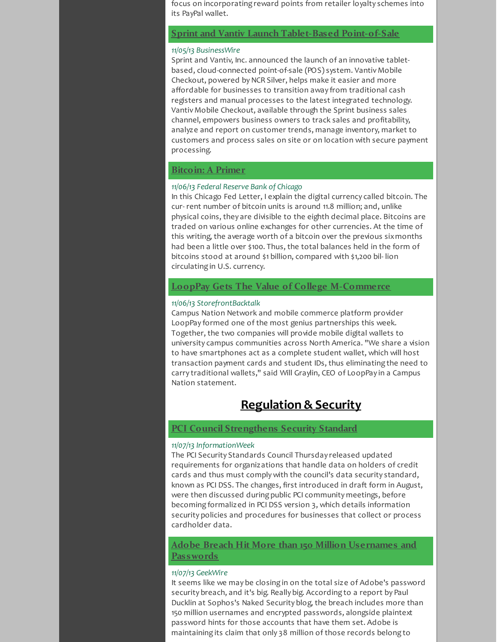focus on incorporating reward points from retailer loyalty schemes into its PayPal wallet.

### **Sprint and Vantiv Launch [Tablet-Based](http://r20.rs6.net/tn.jsp?f=001MgUaQiYhjPL3P-N_cmhagrXTv-yt-89ZC93LYQ444Tj62XPA_DZr1_zEzdET6vd4UDbYcfEVuWbm1io0wbgU_WLi22F-BYjoNzGESw9usKIqx1fHLflEWaPZnlL6-IJDcj4WYotEu_UYfzh_dgSdqW1fyOpzoGwLFs8gjWEJEVHsZylx0FfLTYXNjTAJvW6dBpj2bnAUu9YLgYgbNeAdhGQYsVtfj2oF29FlKomj_wHWCmn5fQYbZXYQRFgVpHeTBI66BvA3oNrsgiHiNBM3rV3klJ9ZHN4Pz4KvFzVc6pEyWsim_gH_v_LNbn0AP3Fg9DuKCagjPL01Qhr94P4ri93JNOuTHYo_tDcZBrx675pJBpN5272wOrS5I7GhMCQ8LINuFYjuk9WcxuPKNjK1wuyKlzi4l8udg692UySbZWjFQCy9l22rngMdTWePeLMP&c=&ch=) Point-of-Sale**

### *11/05/13 BusinessWire*

Sprint and Vantiv, Inc. announced the launch of an innovative tabletbased, cloud-connected point-of-sale (POS) system. Vantiv Mobile Checkout, powered by NCR Silver, helps make it easier and more affordable for businesses to transition away from traditional cash registers and manual processes to the latest integrated technology. Vantiv Mobile Checkout, available through the Sprint business sales channel, empowers business owners to track sales and profitability, analyze and report on customer trends, manage inventory, market to customers and process sales on site or on location with secure payment processing.

### <span id="page-3-1"></span>**[Bitcoin:](http://r20.rs6.net/tn.jsp?f=001MgUaQiYhjPL3P-N_cmhagrXTv-yt-89ZC93LYQ444Tj62XPA_DZr1_zEzdET6vd4oYZAi9KVD73qYeKQ5nthiMkChqST2n_5V2xTSDgwUboFI-YP2LEfr2aTzNFhqOo77kOIEQrFeZueG19_h-qetjQ6NGPQCntYnnkh0ZKmaQG0Q5XpmZm7tB9jJ6v_KJBMpOxdqKPKXsg4ErzDPEUxYymW-pqZi5_aM-z_e4wiBlAaNzFlCdTEHPJc-yaylVYNSB24FCbhgMp630TMHBHdSzWuudySdQNHVuhgZqI2vpc_4WaBkcKYG_YPOtUSJd8g_nzpGHnnEIWByPnoDaFKbLUEHbJczB_9V9T8viRkt2ZviLI0MlU3oOX6ys0SoiRUVYJB6Y87M3kluFbdQJZZjZzaJ5T57KzD9kA1tNumhRw0qHesJlv_fpvXtnyFfnZN&c=&ch=) A Primer**

### *11/06/13 Federal Reserve Bank of Chicago*

In this Chicago Fed Letter, I explain the digital currency called bitcoin. The cur- rent number of bitcoin units is around 11.8 million; and, unlike physical coins, they are divisible to the eighth decimal place. Bitcoins are traded on various online exchanges for other currencies. At the time of this writing, the average worth of a bitcoin over the previous sixmonths had been a little over \$100. Thus, the total balances held in the form of bitcoins stood at around \$1 billion, compared with \$1,200 bil- lion circulating in U.S. currency.

### **LoopPay Gets The Value of College [M-Commerce](http://r20.rs6.net/tn.jsp?f=001MgUaQiYhjPL3P-N_cmhagrXTv-yt-89ZC93LYQ444Tj62XPA_DZr1_zEzdET6vd4DqCkJ2VfWb4wvx1K2BLAoDxqH90yvedfpH-MW29itMoAX87m774lsSu3vI9mJCGwdm_oCJgYgwOfYhoObeSOU9EFv6gYpnsKgMGYCjaZPlfEbUNFXQycgRNPxtzTitRUNBJmDfowU66M8zbgqtEsQ0AzF6AIoeC2AyCcXH-yxlF5rP11ZSxG5YmHqzNIPM750JoHnDSrGIZxhWNfSvpYi079zjmXlKfam_Yk1abcHn4odpBvAPYkT2lgMbDP43LWDcmPbgLYM-QeuS2wPvdoHVSqwTi2E7dZ0I7NQ_fZfpB7JJjz7qbs0hg9VHLCLLRr6JkLzFecDHZXjis7zoSx_vtQcwC6DIDPyYhr9xSpJig=&c=&ch=)**

#### *11/06/13 StorefrontBacktalk*

Campus Nation Network and mobile commerce platform provider LoopPay formed one of the most genius partnerships this week. Together, the two companies will provide mobile digital wallets to university campus communities across North America. "We share a vision to have smartphones act as a complete student wallet, which will host transaction payment cards and student IDs, thus eliminating the need to carry traditional wallets," said Will Graylin, CEO of LoopPay in a Campus Nation statement.

### <span id="page-3-2"></span><span id="page-3-0"></span>**Regulation & Security**

### **PCI Council [Strengthens](http://r20.rs6.net/tn.jsp?f=001MgUaQiYhjPL3P-N_cmhagrXTv-yt-89ZC93LYQ444Tj62XPA_DZr1_zEzdET6vd4IHWP_cVxmhWeqhqux5G1PHTOe5jsYe7t-t1K9BcGlhbzZtqF0RbLGJdPC-BzXLk_LBQYDaF8xwnzePSVsFsHN5XD47Z4D7lDELOClWzS3Crn-dmYVSQaSeGxu9rTAdSlGNEfCqShVdOUjB8MJxjzY63fB6E03He9uXBUgiAOaAq3RNYVu4VFIOrBispTWyFltFPueVhTyA7lj0aKyylkkOsrWfx0LFLMHyMxmUsgeIycmy1C5BztfAJaGqqHHOcAqkvT-N_TDPHToBhZlpA1zaqSe5t4jyJaRH6Bjsr0GF_uG9gXCBNpYWURgwnuDvTqIZb2T2B1fjClZ9-qewj22FEY33qmnZ64RkdRlZBjHdbCOXXNFrahemlMafKOMFuK&c=&ch=) Security Standard**

#### *11/07/13 InformationWeek*

The PCI Security Standards Council Thursday released updated requirements for organizations that handle data on holders of credit cards and thus must comply with the council's data security standard, known as PCI DSS. The changes, first introduced in draft form in August, were then discussed during public PCI community meetings, before becoming formalized in PCI DSS version 3, which details information security policies and procedures for businesses that collect or process cardholder data.

**Adobe Breach Hit More than 150 Million [Usernames](http://r20.rs6.net/tn.jsp?f=001MgUaQiYhjPL3P-N_cmhagrXTv-yt-89ZC93LYQ444Tj62XPA_DZr1_zEzdET6vd4qETYNo9mj8jwQRpr-MVj-lheV0sYbrIR_gaRkOZf7OEJfE1mmHr5iLAiX6eet2fT4ujI1ZQzXOHlHNZho9TjDfgcNXrff0ZxQK7bOcOubT-wgb4BYSZeo-VsvU_6jmfsxLFu3lvUsn8kI3uLRrebaikTAKv_OdEtD2vwreu-NlpVN3WHgx4PhJQANp81pycp90jVmz3EtDV7ctlvP9dslvkL-of2StncNLn6MDn07TYP_3WwVC9RFt5Asao10cgaQapYQFCM6vCfdSCNowiSc0s0Ior1yzUc5cvRDgsvUNFDTqCgF4COzdWF6ch5O6IpnlW8qP0XF4FY1F8JGrf20OuyZwzD6L7sSMSBS8JkGtw=&c=&ch=) and Passwords**

#### *11/07/13 GeekWire*

It seems like we may be closing in on the total size of Adobe's password security breach, and it's big. Really big. According to a report by Paul Ducklin at Sophos's Naked Security blog, the breach includes more than 150 million usernames and encrypted passwords, alongside plaintext password hints for those accounts that have them set. Adobe is maintaining its claim that only 38 million of those records belong to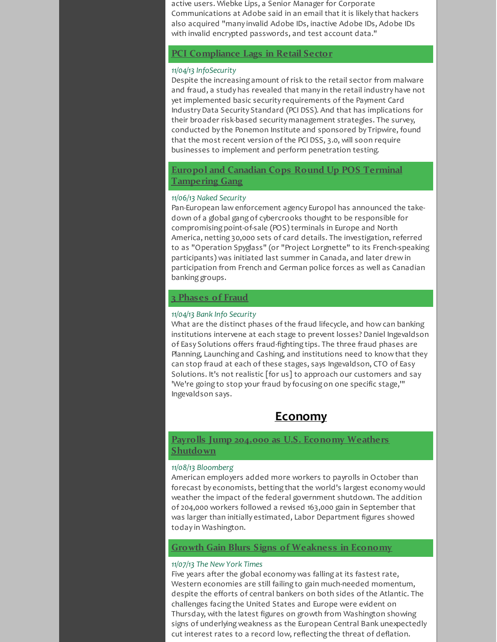active users. Wiebke Lips, a Senior Manager for Corporate Communications at Adobe said in an email that it is likely that hackers also acquired "many invalid Adobe IDs, inactive Adobe IDs, Adobe IDs with invalid encrypted passwords, and test account data."

### **PCI [Compliance](http://r20.rs6.net/tn.jsp?f=001MgUaQiYhjPL3P-N_cmhagrXTv-yt-89ZC93LYQ444Tj62XPA_DZr1_zEzdET6vd4RXkVwct85fkYvsElajqGAPkiQ_rq7vHcKt3Pb10CYwgHSLk9mzrdsq0PzV4okrG5w6bQRimIYOaXlBln326s9WeJiqKao4qp3AlYKrjdxvG_1u8g8sTEf0HCXABoDU8_tUPZOr0Te6d-q4YQiObCY9-5C6CuLe9dFSnK1A4vGm26xW1oLK82RfYH0j1j_kD8WbL98n0q5EXfAFsKsRX-fDLkINlTS5uwly4mspyS6TcDp1RpEll1KfkSveKIDSlvN8sTpnHLBClYHjKJQ_XQd-SZZUk5W1pc998gIcZDl-YaMjn5F8BaHgf8H48O31eLr6ZgFbpDz06dCe9mr7F-QglaltUo__T72KYnei3IIjM=&c=&ch=) Lags in Retail Sector**

### *11/04/13 InfoSecurity*

Despite the increasing amount of risk to the retail sector from malware and fraud, a study has revealed that many in the retail industry have not yet implemented basic security requirements of the Payment Card IndustryData Security Standard (PCI DSS). And that has implications for their broader risk-based security management strategies. The survey, conducted by the Ponemon Institute and sponsored by Tripwire, found that the most recent version of the PCI DSS, 3.0, will soon require businesses to implement and perform penetration testing.

### **Europol and Canadian Cops Round Up POS Terminal [Tampering](http://r20.rs6.net/tn.jsp?f=001MgUaQiYhjPL3P-N_cmhagrXTv-yt-89ZC93LYQ444Tj62XPA_DZr1_zEzdET6vd4RSe6X_scXcVarr3FK8fGsjfKT57qqh1ima7419iFwPvmIeTCDQI25YXjMLUZW1Yison9DfRdG5fPH4yZKh6UE_HfmTGgK4_YX1dRtK5YjYkfRda2gp_HNTwQEAldXbM9-BMjnBQA0VNblizxmIB3yLQn3fL_d4iAbdYbzoolKOEQisy4ySWnWC42VbyK5ixpAOyI4JSm5JF_j_c0jnlh3G6CGXvyRcPEZy5w977pRmRsqYbt1Kb4RacDw5Hg8cWUUCC2NMzXs8X082uY3yx-qajuex_roZdVqx2NZrBtfAQMBFB8WLU2RD2-MTWyA07nGdhLot2rGTtxzUGGAMCu9H55VsVIdogf2meN4rqxKfzNSY8qAZukr3f0vsmS-nCPOcQ3-ja7YywN33Urj1cOCucFe3pheUrouN7m6d7KRguvU4DO7dc213ypo-dWrAQGo4FVwIFW5S_oFn4VXQgBxVGeiCWoJ_y1x62LEjQYqYfXX8WemAc1und8aYwoYJFSil-5fXRqE0T-AqA8eFJfKYQm4pze3ZBItuaJD_kPza08_za1QGP0gP3ZQ8TP9yRKdKK0qWgJtMmrDT3Hyru11WuwRlddmpXgbwTbNt8YYcc=&c=&ch=) Gang**

### *11/06/13 Naked Security*

Pan-European law enforcement agency Europol has announced the takedown of a global gang of cybercrooks thought to be responsible for compromising point-of-sale (POS) terminals in Europe and North America, netting 30,000 sets of card details. The investigation, referred to as "Operation Spyglass" (or "Project Lorgnette" to its French-speaking participants) was initiated last summer in Canada, and later drew in participation from French and German police forces as well as Canadian banking groups.

### **3 [Phases](http://r20.rs6.net/tn.jsp?f=001MgUaQiYhjPL3P-N_cmhagrXTv-yt-89ZC93LYQ444Tj62XPA_DZr1_zEzdET6vd43RgqaTkIg1892aoZotraCxcB8Y1FHRfLTIHDwrT2pBr_4Is-hwq1JifNfkLc5t_rzKJjko1iw9BD1gaML_HINngWyOLqkjYrWY1PKEj1ua2calISw5R7cddItPS_-kl8WpHjxH6SP8yNfQCt29mmSFB86LVQTMMz9JjoXx0Yr7qFke8T_hsXZvoVDYYoHAQHfetO7Y-vB0HbfjNFBUXI3qb6cj7Uwjed-mTCpNEX_1nmFQP4eO4KZx4baOVVEC6o7IM1FpKTyy5GzsCmQ35PSgbgrr2GHoX8ZS4N7fltpX_JMYCJMnEdJA==&c=&ch=) of Fraud**

#### *11/04/13 Bank Info Security*

What are the distinct phases of the fraud lifecycle, and how can banking institutions intervene at each stage to prevent losses? Daniel Ingevaldson of Easy Solutions offers fraud-fighting tips. The three fraud phases are Planning, Launching and Cashing, and institutions need to know that they can stop fraud at each of these stages, says Ingevaldson, CTO of Easy Solutions. It's not realistic [for us] to approach our customers and say 'We're going to stop your fraud by focusing on one specific stage,'" Ingevaldson says.

### <span id="page-4-0"></span>**Economy**

### <span id="page-4-1"></span>**Payrolls Jump 204,000 as U.S. Economy Weathers [Shutdown](http://r20.rs6.net/tn.jsp?f=001MgUaQiYhjPL3P-N_cmhagrXTv-yt-89ZC93LYQ444Tj62XPA_DZr1_zEzdET6vd4rGRrnQehy7RQEETh5lCi1dJwRBPJn8zSOolz1zVAV23U739IqgK0RKCRLuHN_4h0j2ty00rVOPS2w59082xStb6MFRZ2ClJ70aE0PMmG_6ordn5XD7cjFg412azdN5ew_J2Al2OqzgeJZeII0PCQcXGg1nIit3VfOQ2SW6dGQe13mgK8Dfz68eX7trSpAyww4OAxHQwL4xpUwpd3WRyuyqOcZ-AfHH2Iqw4rBlRperrggtukoBRPHJZH1AnYQmNJN3PPQEFGNE7sj0vtuzN6EsA1L8GYTGPM6QDJrVrKhnYHWLNbkbxFVbMkUnsAMpB1g8R1B0T4EVXvpoS6zOwUoo__QoigSILLLzGQet-hk4KJjYSYJR3II_S-k7u-YE5S&c=&ch=)**

### *11/08/13 Bloomberg*

American employers added more workers to payrolls in October than forecast by economists, betting that the world's largest economy would weather the impact of the federal government shutdown. The addition of 204,000 workers followed a revised 163,000 gain in September that was larger than initially estimated, Labor Department figures showed today in Washington.

### **Growth Gain Blurs Signs of [Weakness](http://r20.rs6.net/tn.jsp?f=001MgUaQiYhjPL3P-N_cmhagrXTv-yt-89ZC93LYQ444Tj62XPA_DZr1_zEzdET6vd4GwDQ9UBDUioABPa5sqEDCLWIR0bSTZA8nqFhJ5-Ced3FMqz8FRK1DjGbk0kENKg0jxcjVaZcNpghxf8YHNgpvofx-pc8gc96vgvwU9ZS3NmCQaAaXotqu0JtEVz4rOmHblrtjRLY_80d1AYB9NqXxUElbzjYIZbSx9BhdaGyijKMcMtUARWglGwjAsm-2E8WnFGwGMXeNXYHOXypbTKz5J9vdmvHy5MSi-UdZ0p5EcM_byQMoxafU7ALHkhx1SFncWHofGWS4xqEwGoWVpM5r-4f4bcPmmyE5tHOwpE0t0_KrdGEAbgil_cOi_9yNj3emkrKxyY16CY82pTYBg1fR_OJbR1rif0M7lFsLKHGHGSYxaVKQVI8eU3Yd0e3sgoyoyeBs7tjq84H96gOkIQ72w==&c=&ch=) in Economy**

### *11/07/13 The New York Times*

Five years after the global economy was falling at its fastest rate, Western economies are still failing to gain much-needed momentum, despite the efforts of central bankers on both sides of the Atlantic. The challenges facing the United States and Europe were evident on Thursday, with the latest figures on growth from Washington showing signs of underlying weakness as the European Central Bank unexpectedly cut interest rates to a record low, reflecting the threat of deflation.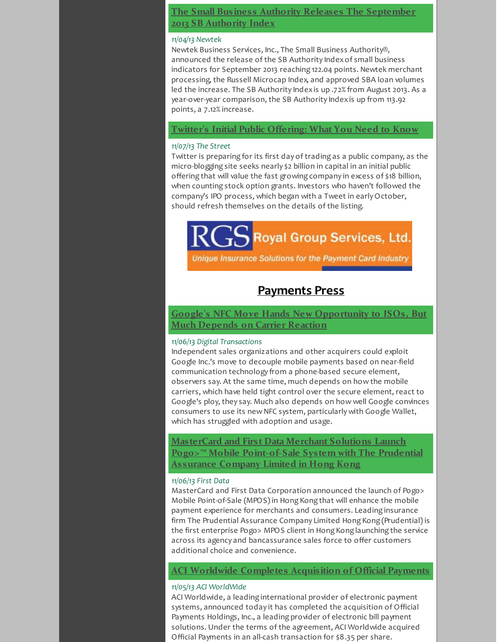### **The Small Business Authority Releases The [September](http://r20.rs6.net/tn.jsp?f=001MgUaQiYhjPL3P-N_cmhagrXTv-yt-89ZC93LYQ444Tj62XPA_DZr1_zEzdET6vd4O61yXI2fSR7d2kBp0S4NkpVB66jDwi4OlB5_auY7VMiBzAZD_0L9f4hN8iRkxXKg1Pt_M0_eqDee9bGQPWtF0AJLb8m5vbCDitP-RxvF4Ea0bHkqXYm3n20tDogS1Dpy1z2atL6XJbGPtHSQmVZrvZx_ley3IbR71KGV2yvs6B3K64aHMXTvLBU4SdIXCNHJcuyS6mBAEHqOjziSt-mn-bZ08HfgfKM-VcmL9y4sI7iEALLizYkfxMB3q9XKVRe6y6dx-L59FWrcZmfFNy8qV87ZBY2KdVxxzwv-29zy9MsIYny3ORAAqVnbKsseUhcWxILgCgdGhBSb1rHaByYwjYI8A8rc6ht1&c=&ch=) 2013 SB Authority Index**

### *11/04/13 Newtek*

Newtek Business Services, Inc., The Small Business Authority®, announced the release of the SB Authority Indexof small business indicators for September 2013 reaching 122.04 points. Newtek merchant processing, the Russell Microcap Index, and approved SBA loan volumes led the increase. The SB Authority Indexis up .72% from August 2013. As a year-over-year comparison, the SB Authority Indexis up from 113.92 points, a 7.12% increase.

### **Twitter's Initial Public [Offering:](http://r20.rs6.net/tn.jsp?f=001MgUaQiYhjPL3P-N_cmhagrXTv-yt-89ZC93LYQ444Tj62XPA_DZr1_zEzdET6vd4q0ho2Y0v_B2vVHTq-n93aN2YF7rRuT1j5wjgK3mnyfc4QrKhHzW1vccdeZwH80j9yNZu9jeFtWjDNNWzVw0oyN2slviH9Q28R8LrftV81UrcUy5XFqMBeMUFO4WBxpagURqo-6ntCOrjTOQQyO71Le1Ug2C1Lk_vFCOIItBYqsdMJn1M7yQDRVIMJsY0Jv_d9ux6_l-0uFVVGsGqMw69fLKRWhc4ZSbXTbF_WLNaIDeUVFL21-HOPb1OpIvIi9GrGI2rsMQhEAe9BmZjXCITE6K0SeXVPjnHOtg1oPDQxc7y1ZChkes3On7woZ_gYKnyPfA69o-JaS5JvL5q4zCKtHjAFuYTC17AmDp8CNiK3SS7c-ROpN98EwJgo58_a3mZ&c=&ch=) What You Need to Know**

### *11/07/13 The Street*

Twitter is preparing for its first day of trading as a public company, as the micro-blogging site seeks nearly \$2 billion in capital in an initial public offering that will value the fast growing company in excess of \$18 billion, when counting stock option grants. Investors who haven't followed the company's IPO process, which began with a Tweet in earlyOctober, should refresh themselves on the details of the listing.

# Royal Group Services, Ltd.

Unique Insurance Solutions for the Payment Card Industry

### <span id="page-5-1"></span><span id="page-5-0"></span>**Payments Press**

### **Google's NFC Move Hands New [Opportunity](http://r20.rs6.net/tn.jsp?f=001MgUaQiYhjPL3P-N_cmhagrXTv-yt-89ZC93LYQ444Tj62XPA_DZr1_zEzdET6vd4dkHQUTh_HvcRO9WYz_I9BNmuuZow7aw059FUgHezFuy6Bqi2UEbptCDP5pmjIb1bVVBJtkco07ueKlTt9vsX_vakujyATgbK2mM4f18YJoWYqNBYB8y8K8M8w17i5chpPJU6tf77sCpzX-UBmNJ7EDigU0aTE6iIY_pGqxG3dDat4atFc8chh2Pc5vIVAH71qgITyxGtgO69KfigdvYN75I7X88tlNGUORMzATsqB8ZBfxDevg8-h5fj4zQX0-9AgGQzQiOynVqDK5ARsnuc1S_L7bqHpMWA8R9OADND9B6gZewg2OVo8Q==&c=&ch=) to ISOs, But Much Depends on Carrier Reaction**

### *11/06/13 Digital Transactions*

Independent sales organizations and other acquirers could exploit Google Inc.'s move to decouple mobile payments based on near-field communication technology from a phone-based secure element, observers say. At the same time, much depends on how the mobile carriers, which have held tight control over the secure element, react to Google's ploy, they say. Much also depends on how well Google convinces consumers to use its new NFC system, particularly with Google Wallet, which has struggled with adoption and usage.

### **MasterCard and First Data Merchant Solutions Launch Pogo>™ Mobile [Point-of-Sale](http://r20.rs6.net/tn.jsp?f=001MgUaQiYhjPL3P-N_cmhagrXTv-yt-89ZC93LYQ444Tj62XPA_DZr1_zEzdET6vd4zK4Z75F2qoWxaoZTrg-ki2AMyF7dT3xHxab5CtJQGDQNIyqJUjUIbIH4SzioVCDh4uDRbaEDXnuyxzbz2z3v4474sMlH8njq-HXQU0A04SNafcXmwPaqw-Udy-Ah2T1ll-ykEiTxsomonIhvAcc2JRRINt2Qz22iWkCmM4HvBzQdk9hUbEWE7IC__2X-1T3cKJ8lpssbXrvzuOgSKKjMIc_0lAUlS1R-Z4cii9rg3OjTL2KAb9WUNoicj2a0Mrnh32Ek0CZ4BcZ1SB24jkouyim5um_TOe_HBF4d-zT0430CeqcqzBn9AHkR2C4QsZ_YgbCF7yoe0jfiqQVeI-TRqsm25RlSUFHUs3rOTm8N9S8=&c=&ch=) System with The Prudential Assurance Company Limited in Hong Kong**

### *11/06/13 First Data*

MasterCard and First Data Corporation announced the launch of Pogo> Mobile Point-of-Sale (MPOS) in Hong Kong that will enhance the mobile payment experience for merchants and consumers. Leading insurance firm The Prudential Assurance Company Limited Hong Kong (Prudential) is the first enterprise Pogo> MPOS client in Hong Kong launching the service across its agency and bancassurance sales force to offer customers additional choice and convenience.

### **ACI Worldwide Completes [Acquisition](http://r20.rs6.net/tn.jsp?f=001MgUaQiYhjPL3P-N_cmhagrXTv-yt-89ZC93LYQ444Tj62XPA_DZr1_zEzdET6vd4N6lWijv63toPY-YYLevjC4RTV6yhwRbh08Jz4DS4pRlulffkzJAgMmBfCfkWYueehflb240EJxYe1Nslnn0RH6ATlhdrPED0_r0k-0noYVMML8ym6tpmQrbRFoHrOK6vn37vJyjOPT9Mlm549297I6oP2pDVPOdwkUEh8yWDkXbjoQ12786q6sSLaTbvzClQWeH4zmNA9eFALdGeRhe2WVl4b6Z759X1qkLp3u2NZYhGPzSFvRUpb7Tf0eg3Ab8U_Tio4YnPN5JJlXMmV60P1tx1woh_Se_2w9XLvRPHVy6LuFGEmuwwS-O2a1d8ChUReLI1nUxiMDTmuGhTwoEiGEWyIZe8R8cLE92-MeOUL5lCjVKWNCWlmRjwlPpm2UDWvjwcDIq-PYZD2WbYJ1vwcw==&c=&ch=) of Official Payments**

### *11/05/13 ACI WorldWide*

ACI Worldwide, a leading international provider of electronic payment systems, announced today it has completed the acquisition of Official Payments Holdings, Inc., a leading provider of electronic bill payment solutions. Under the terms of the agreement, ACI Worldwide acquired Official Payments in an all-cash transaction for \$8.35 per share.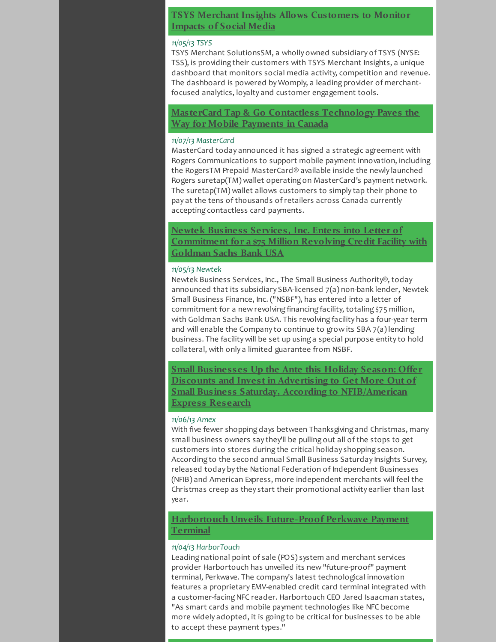### **TSYS Merchant Insights Allows [Customers](http://r20.rs6.net/tn.jsp?f=001MgUaQiYhjPL3P-N_cmhagrXTv-yt-89ZC93LYQ444Tj62XPA_DZr1_zEzdET6vd490w6718bc3GDx-Yb2Fdzg4aiIdj8Iim-3UF3zr8RnmjDCeHCbQeveSkkF_oUVsoqt6c3br0_BCG-qWKJD1LxmGOM2FYY8ArrP6T5q0UN5Sp7eYkz9r9Q-Y8C5frNqLxOS97WL3UNPNCWPVznGJ-fJpgjQYul5gRE9m8-WvzI7pVazVEq7Dh6sxvfiQfHxw1W4hghpjTLAxow-iyhIBFhXwV4lxuiYx1PVb6Ua3_I2uEhk9Q13AxXt0k8nTi_kVa4vg9iQW13rX-D-yzQCjl4SNz0ytdcZwkdQKUISTkuRJwgqF79dyUONoHlvD1prjR02b8D00FcUFQ=&c=&ch=) to Monitor Impacts of Social Media**

### *11/05/13 TSYS*

TSYS Merchant SolutionsSM, a wholly owned subsidiary of TSYS (NYSE: TSS), is providing their customers with TSYS Merchant Insights, a unique dashboard that monitors social media activity, competition and revenue. The dashboard is powered by Womply, a leading provider of merchantfocused analytics, loyalty and customer engagement tools.

**MasterCard Tap & Go Contactless [Technology](http://r20.rs6.net/tn.jsp?f=001MgUaQiYhjPL3P-N_cmhagrXTv-yt-89ZC93LYQ444Tj62XPA_DZr1_zEzdET6vd4fzJ87Fb3pR4Tzp7faDRJHvYmyNZuiwB8NzytDQdLVsBTgmsocVS7V1hRA-0_Z6wts_rfIkzqxQ9VtNexaY9KTMKVxoQUPNRLiDhzGeu1370Rm21Z049HtYz5Y8GynKE9fTwh7wRYgreyGvZu-yUHD4ipTgeOJ_b39Bkpia_H3elIpU5_MW3k0VJJfO6kpiEab-AUrs3PYU5FyzC-p2LvHnTsoUjqXCYt4YQ9IkKD1BxmfJTT9CW8BBkuYQn4bk5q4WgIEOpIug1CijsZCuM9K5j5g_4Mi-a49cGONfJZlOtxUJ_wRfDV6A4ruEjJjoyqEO_UJ3QPqevkbjyjIu3L4Dm-elVEzbW5Y7z3NScsr39gvGTIh4-gheBKTbCxSSrygCvpxmcWu700azV1lgLogADVNxzvBGQ_&c=&ch=) Paves the Way for Mobile Payments in Canada**

### *11/07/13 MasterCard*

MasterCard today announced it has signed a strategic agreement with Rogers Communications to support mobile payment innovation, including the RogersTM Prepaid MasterCard® available inside the newly launched Rogers suretap(TM) wallet operating on MasterCard's payment network. The suretap(TM) wallet allows customers to simply tap their phone to pay at the tens of thousands of retailers across Canada currently accepting contactless card payments.

**Newtek Business Services, Inc. Enters into Letter of [Commitment](http://r20.rs6.net/tn.jsp?f=001MgUaQiYhjPL3P-N_cmhagrXTv-yt-89ZC93LYQ444Tj62XPA_DZr1_zEzdET6vd4f4fQGYZmYzA-oSpcUutvo1KIWxej4bQKZU8_ujLZxRvnEc6NMDO724E9RMTWV32izK3RXCH5JRJbHK3EIw_NTlQ4VKM_TxCdQuYlKyDmWl48xfOP1lqjVes8nkV6JbuKHLU5us_4Ptc7tJ_D9Z129mpTTm90XU9Ejld-lDrYobRBVWbLs0QIFxX7ubSYdfRX_BFG4FG35eUhYM5k4y3e5Hlc3NbhDgRyo61Yv9SaYDglGemoy6bUGOMhiFG-Kmg1XmXmlfHEFP6hb6viGyT8atkJ6kQ7jQFpJe8ue29FScPsV8Dt09Jjek3B2nPTyuw8ArYsPEHtBPWB-GFgW1Sw3ygVW7bF0jCJ&c=&ch=) for a \$75 Million Revolving Credit Facility with Goldman Sachs Bank USA**

### *11/05/13 Newtek*

Newtek Business Services, Inc., The Small Business Authority®, today announced that its subsidiary SBA-licensed 7(a) non-bank lender, Newtek Small Business Finance, Inc. ("NSBF"), has entered into a letter of commitment for a new revolving financing facility, totaling \$75 million, with Goldman Sachs Bank USA. This revolving facility has a four-year term and will enable the Company to continue to grow its SBA 7(a) lending business. The facility will be set up using a special purpose entity to hold collateral, with only a limited guarantee from NSBF.

**Small Businesses Up the Ante this Holiday Season: Offer Discounts and Invest in Advertising to Get More Out of Small Business Saturday, According to [NFIB/American](http://r20.rs6.net/tn.jsp?f=001MgUaQiYhjPL3P-N_cmhagrXTv-yt-89ZC93LYQ444Tj62XPA_DZr1_zEzdET6vd4W3zbqYEkWxEHv_mIY5DYju7aBaRvDDgnTBwIJtdkc3tUit169HFVfikuJU2f2TwtuETYJW_V-MGkWn1u6-vviuJ2DZEK3bqPhai0iafiSUsK5jBF08_03QlB06K_TmCUtTCMyMXHfHaKoR8Yp4Xx2JqqQ-OuEvuaFr6AQEQh1cxng19fGp0_YwS0YCOnXMzVKivo1ZFIyJFr7tTJvYY7bC_a9DBlCfAyD4N1M7XsyZnq99JjpgqZza3Y7cDJPTNh6keGzRQScpU-viWrG-oSa3QZPlRKDrdVZhxA9unWB--j1n0J7UijO6tpkyjS4XGcdZuA6ycctIiJhnAhQBWmiJXQCkEOUuoo&c=&ch=) Express Research**

### *11/06/13 Amex*

With five fewer shopping days between Thanksgiving and Christmas, many small business owners say they'll be pulling out all of the stops to get customers into stores during the critical holiday shopping season. According to the second annual Small Business Saturday Insights Survey, released today by the National Federation of Independent Businesses (NFIB) and American Express, more independent merchants will feel the Christmas creep as they start their promotional activity earlier than last year.

### **Harbortouch Unveils [Future-Proof](http://r20.rs6.net/tn.jsp?f=001MgUaQiYhjPL3P-N_cmhagrXTv-yt-89ZC93LYQ444Tj62XPA_DZr1_zEzdET6vd4JxLpZG_z-oNJoN7mg02yAc1hCU8QLLQS0KvU-ZjG6iWV2fS0e8JRRHdEUtreeU1XUXZWxQoWsfIaltJ6krYivNRPU1RJ1mJRik9k254TYmyqN-TqtN6GAroNCzAnZJVpSILkyYOc8triTUZqhZYh3nO8dUYyN6SRFzkBjkb08q178DRRBK3Od6dBZuH1QoIs_6nIyHVFx7GeP1YeUmxb1uLjG_JVHcxftghsKRerqw2EzhnTaLkRxaPvFmqEF6bQyd-5uZYMhCscgmfcZbyWMIlIlR9nwOGY-nMwsX5qniRA2SsFl_sxGOQwWH58u_C224dSrFaCUmTfACL0IiDbxYL5eaHj2W9P3A-lOm-gEDM=&c=&ch=) Perkwave Payment Terminal**

### *11/04/13 HarborTouch*

Leading national point of sale (POS) system and merchant services provider Harbortouch has unveiled its new "future-proof" payment terminal, Perkwave. The company's latest technological innovation features a proprietary EMV-enabled credit card terminal integrated with a customer-facing NFC reader. Harbortouch CEO Jared Isaacman states, "As smart cards and mobile payment technologies like NFC become more widely adopted, it is going to be critical for businesses to be able to accept these payment types."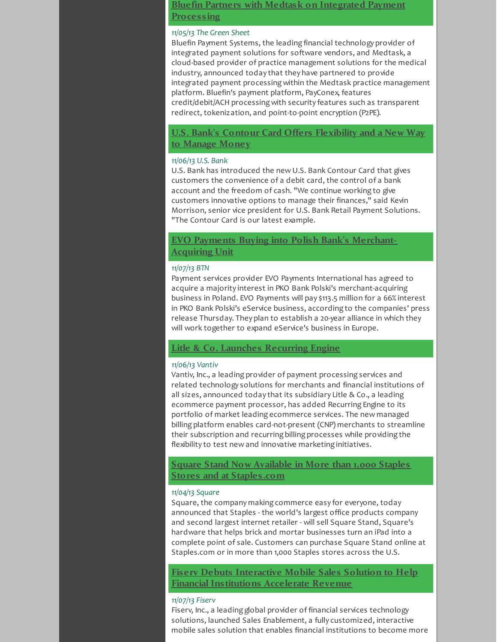### **Bluefin Partners with Medtask on Integrated Payment [Processing](http://r20.rs6.net/tn.jsp?f=001MgUaQiYhjPL3P-N_cmhagrXTv-yt-89ZC93LYQ444Tj62XPA_DZr1_zEzdET6vd4hC3j8FDaXAc5XRwHe9YZwgI14LHMx9BfIdJnsgh4UcwfL37TXI87YAuexayMMn58E8OcZ-ue6dMlgzm4JhcIiOJU9Du5UaCaUGbkoVsJX_3hgF74yjEn9uRPaDvD1E12c-Q3zEqwTdKSvFr7NYPi-lSTGINPV0yhDLtEkww7PqXpLmXAkl841F3Gt3fpxk04JweryXe2Fe_HJfJ6B2O92ANXK578VbNRDQh9cgiP8go9MBS8cuG5PWRWVVZsHFQSuJAF9cwWR0LckUk3HNbJMWFV7WVdrsDGJafEbOGmKggANqNZ4szOGLP1KZH-AfM1TahK5A6u2xSUYDhKYG4ugw==&c=&ch=)**

### *11/05/13 The Green Sheet*

Bluefin Payment Systems, the leading financial technology provider of integrated payment solutions for software vendors, and Medtask, a cloud-based provider of practice management solutions for the medical industry, announced today that they have partnered to provide integrated payment processing within the Medtask practice management platform. Bluefin's payment platform, PayConex, features credit/debit/ACH processing with security features such as transparent redirect, tokenization, and point-to-point encryption (P2PE).

### **U.S. Bank's Contour Card Offers [Flexibility](http://r20.rs6.net/tn.jsp?f=001MgUaQiYhjPL3P-N_cmhagrXTv-yt-89ZC93LYQ444Tj62XPA_DZr1_zEzdET6vd4GPEjsvwQ3pcFoA2xp9lvKtK9AE-Wwh8H-cG1Od9tlvtc5sfjUAFBIWiEjSbP3Q1FYS8D12w2H62EM5zAAGq_KY914ercx2vyRkupqMIAvZbNZx1kBjy3hxTg57URYQqCa-M7472gsC_CIVKmJn3H4fF9ZG1YCCS2fOFVNoAtpzIsf32BvdTWPLDAAgfzNKYNHTOQA7veNRHLFGSFDWUnwqHfZxOHMLASEGTgUMCRDwEUH1Xh7OlNuqjZ6dYC08I2UL89JGXymJl6yvVl57_qExvSTLFClCrXFie1MxAic99v_C1aIhvIWQMf2tuuG-zoqMZHeZnPpJdpKSCgK1FuN1afYrpTWDYy9MmhvWHuGG0tWLbWY6j9b5RhectGEOzv&c=&ch=) and a New Way to Manage Money**

### *11/06/13 U.S. Bank*

U.S. Bank has introduced the new U.S. Bank Contour Card that gives customers the convenience of a debit card, the control of a bank account and the freedom of cash. "We continue working to give customers innovative options to manage their finances," said Kevin Morrison, senior vice president for U.S. Bank Retail Payment Solutions. "The Contour Card is our latest example.

### **EVO Payments Buying into Polish Bank's [Merchant-](http://r20.rs6.net/tn.jsp?f=001MgUaQiYhjPL3P-N_cmhagrXTv-yt-89ZC93LYQ444Tj62XPA_DZr1_zEzdET6vd48DLaTN5Y12WCrqo_97h8aLoebSRjkCXU9S54Jbewr6eCLhgkP6jHOv8zCqubonvlSO6bP7bsnQt-3izofilukfK2PKnPgI1OnGj3sj6rs_YVWg4pWNsrzUK80b8XnZqpzMrYnW53ACd8iYCCv6CZJieu2AwdAqXEB5xvRNMfK6UtU34Uv2FSeTvoLYA0QS27VRELpx7zR1eri58K6beeILtncXr22DIJbx_u3uCJwqicItUSfvwCNZ1LiEOIRYQGUmP2Tka9E0Xogjcinswk0hblRqdy3wa3PxxzklCdp73yBNpWxM9JrpAf2ApV0nz5Rh8suqLFE2scZxQOA3tzKEXTtduDWUwkwO-71hzaEhJqtXXpJQ8Uy6nzYIaUuXsZJs2FMsqRKmkBYtrUIvHp14MuRp4g_QQ4&c=&ch=)Acquiring Unit**

### *11/07/13 BTN*

Payment services provider EVO Payments International has agreed to acquire a majority interest in PKO Bank Polski's merchant-acquiring business in Poland. EVO Payments will pay \$113.5 million for a 66% interest in PKO Bank Polski's eService business, according to the companies' press release Thursday. They plan to establish a 20-year alliance in which they will work together to expand eService's business in Europe.

### **Litle & Co. Launches [Recurring](http://r20.rs6.net/tn.jsp?f=001MgUaQiYhjPL3P-N_cmhagrXTv-yt-89ZC93LYQ444Tj62XPA_DZr1_zEzdET6vd4bZ2PINuJRMIKcDJJ4u1dFTdHWeb4eBJ2So0EOSM3Mv-dvAOXGkuYAx_DGOdkXhQ2S1FGY57ZIH_K62ubQTyxSM6uPWsBJ1N7p6HDf-eZg8ytpj0r3fcjQ2qZL3_5Tvi3YtZLkR6r_jXZu8iUvxMEX5HM2QTBDiktZGZVSItlKXsXiDXOApnPB4Aguyq-j_i9ekyPLrW75fPR7H-jTEfNS3qobVqG3__ET6I3A2_FnUZq-CPCpaXDWKRGO9EavQGBR_knGvOvhNLRh0Kbv-lODt2tV3JFa9RFYvslBSUTNTUJqUJmmfXUYwGN7GZPKK_XynwmWVXWHjeWYBhVMuF0-MlTjn5aHHEI5eEK8bur01ByeDr05ch5qg==&c=&ch=) Engine**

### *11/06/13 Vantiv*

Vantiv, Inc., a leading provider of payment processing services and related technology solutions for merchants and financial institutions of all sizes, announced today that its subsidiary Litle & Co., a leading ecommerce payment processor, has added Recurring Engine to its portfolio of market leading ecommerce services. The new managed billing platform enables card-not-present (CNP) merchants to streamline their subscription and recurring billing processes while providing the flexibility to test new and innovative marketing initiatives.

### **Square Stand Now Available in More than 1,000 Staples Stores and at [Staples.com](http://r20.rs6.net/tn.jsp?f=001MgUaQiYhjPL3P-N_cmhagrXTv-yt-89ZC93LYQ444Tj62XPA_DZr1_zEzdET6vd4miQlbTrQ0HRbmlmV5EdEg1ZkwJ68zditqNX4yTo5gaHAP_boKqXKj32GnHGi4PzIc69d4NrG_8ZJ_0qGrnUaVCOqeIgbvZPHo77qQMv8eh6db9O7qfTILlkykwcG--Xo4mwDpgTyOIwcVfqCDI2pz2HCr0J0E2glbUxc1k7bdmJZj-vTF83u-8fhPcI_oqYXKUThNmzjy3g4v-ljOZTA-ZNxT7kn29OeqGU5faK_YeOn2AcXhHk0VHWOy_urOGOC5nTgGxyiTiFPOUZyG6meR1KcA-tJIj2J6ZPe4-GReiC6r04CPpettVcBtQmdC9bRGPC3rJ-gBjJcREZa1TFvfA==&c=&ch=)**

### *11/04/13 Square*

Square, the company making commerce easy for everyone, today announced that Staples - the world's largest office products company and second largest internet retailer - will sell Square Stand, Square's hardware that helps brick and mortar businesses turn an iPad into a complete point of sale. Customers can purchase Square Stand online at Staples.com or in more than 1,000 Staples stores across the U.S.

**Fiserv Debuts Interactive Mobile Sales Solution to Help Financial [Institutions](http://r20.rs6.net/tn.jsp?f=001MgUaQiYhjPL3P-N_cmhagrXTv-yt-89ZC93LYQ444Tj62XPA_DZr1_zEzdET6vd4Z4uQE09gDuNqrk3EMRa5TESDU0481kinIf2lGFMiR482TEIaOWqoJgen6N2eQEKn77wo0ons34ORGsvu_fQQNyPS_tzbQs5e_0vtA3pHt7fjXysGbB0n-NDSxC8SVFK3HwGrjMt_m9dSvBkkb09oU_A1Z_vOMA5U2NxB5x4Wxri1K9uLZRgRrXcWDi3jaQP87-ISTEEzfXcEDF4dqKrf-7qcp-HEZxfkt4GXZF6wov8xkyHsErSzoKPuCpLlYdBQ84moDItChwuxjMuvxjz1C_7imJmHFtVoGuNDUxGXM8-gP4iDe0S_Oud-vcEn7JOuCVsbBxcCAV4=&c=&ch=) Accelerate Revenue**

### *11/07/13 Fiserv*

Fiserv, Inc., a leading global provider of financial services technology solutions, launched Sales Enablement, a fully customized, interactive mobile sales solution that enables financial institutions to become more